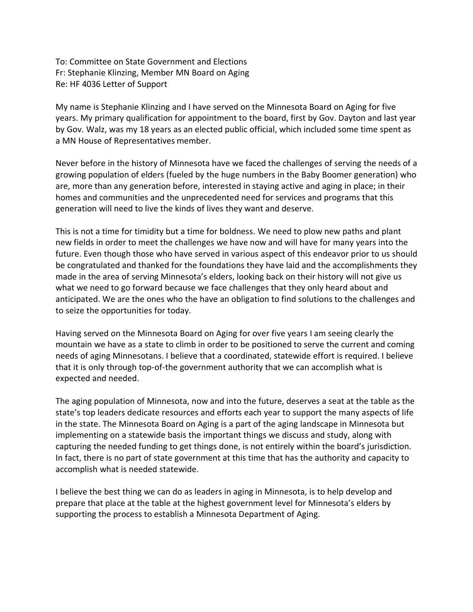To: Committee on State Government and Elections Fr: Stephanie Klinzing, Member MN Board on Aging Re: HF 4036 Letter of Support

My name is Stephanie Klinzing and I have served on the Minnesota Board on Aging for five years. My primary qualification for appointment to the board, first by Gov. Dayton and last year by Gov. Walz, was my 18 years as an elected public official, which included some time spent as a MN House of Representatives member.

Never before in the history of Minnesota have we faced the challenges of serving the needs of a growing population of elders (fueled by the huge numbers in the Baby Boomer generation) who are, more than any generation before, interested in staying active and aging in place; in their homes and communities and the unprecedented need for services and programs that this generation will need to live the kinds of lives they want and deserve.

This is not a time for timidity but a time for boldness. We need to plow new paths and plant new fields in order to meet the challenges we have now and will have for many years into the future. Even though those who have served in various aspect of this endeavor prior to us should be congratulated and thanked for the foundations they have laid and the accomplishments they made in the area of serving Minnesota's elders, looking back on their history will not give us what we need to go forward because we face challenges that they only heard about and anticipated. We are the ones who the have an obligation to find solutions to the challenges and to seize the opportunities for today.

Having served on the Minnesota Board on Aging for over five years I am seeing clearly the mountain we have as a state to climb in order to be positioned to serve the current and coming needs of aging Minnesotans. I believe that a coordinated, statewide effort is required. I believe that it is only through top-of-the government authority that we can accomplish what is expected and needed.

The aging population of Minnesota, now and into the future, deserves a seat at the table as the state's top leaders dedicate resources and efforts each year to support the many aspects of life in the state. The Minnesota Board on Aging is a part of the aging landscape in Minnesota but implementing on a statewide basis the important things we discuss and study, along with capturing the needed funding to get things done, is not entirely within the board's jurisdiction. In fact, there is no part of state government at this time that has the authority and capacity to accomplish what is needed statewide.

I believe the best thing we can do as leaders in aging in Minnesota, is to help develop and prepare that place at the table at the highest government level for Minnesota's elders by supporting the process to establish a Minnesota Department of Aging.